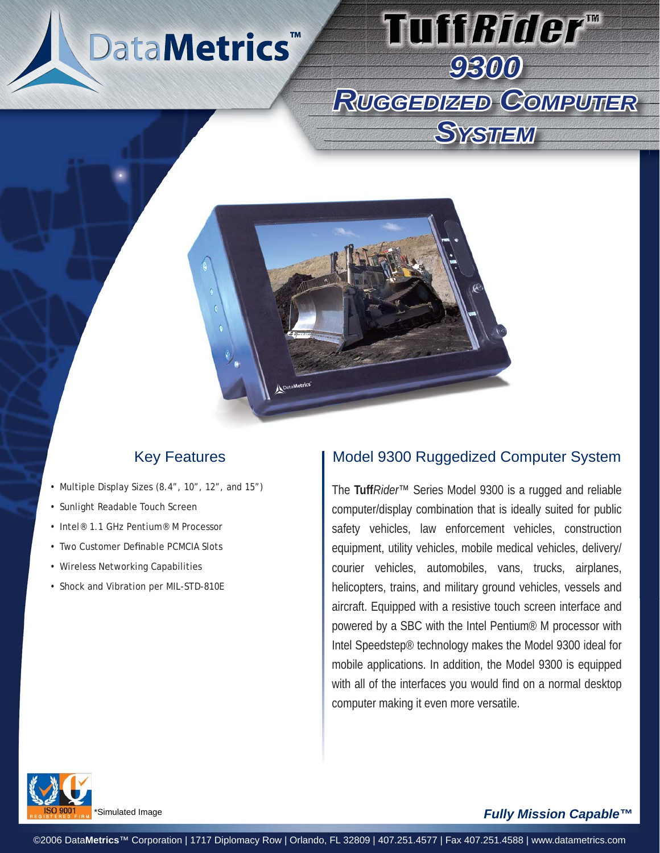



# Key Features

- Multiple Display Sizes (8.4", 10", 12", and 15")
- Sunlight Readable Touch Screen
- Intel® 1.1 GHz Pentium® M Processor •
- Two Customer Definable PCMCIA Slots •
- Wireless Networking Capabilities
- Shock and Vibration per MIL-STD-810E

## Model 9300 Ruggedized Computer System

*9300*

Tuff*Rider*™

*RUGGEDIZED GGEDIZEDCOMPUTER* 

*SYSTEM*

The **Tuff***Rider*™ Series Model 9300 is a rugged and reliable computer/display combination that is ideally suited for public safety vehicles, law enforcement vehicles, construction equipment, utility vehicles, mobile medical vehicles, delivery/ courier vehicles, automobiles, vans, trucks, airplanes, helicopters, trains, and military ground vehicles, vessels and aircraft. Equipped with a resistive touch screen interface and powered by a SBC with the Intel Pentium® M processor with Intel Speedstep® technology makes the Model 9300 ideal for mobile applications. In addition, the Model 9300 is equipped with all of the interfaces you would find on a normal desktop computer making it even more versatile.



#### Simulated Image

#### *Fully Mission Capable™*